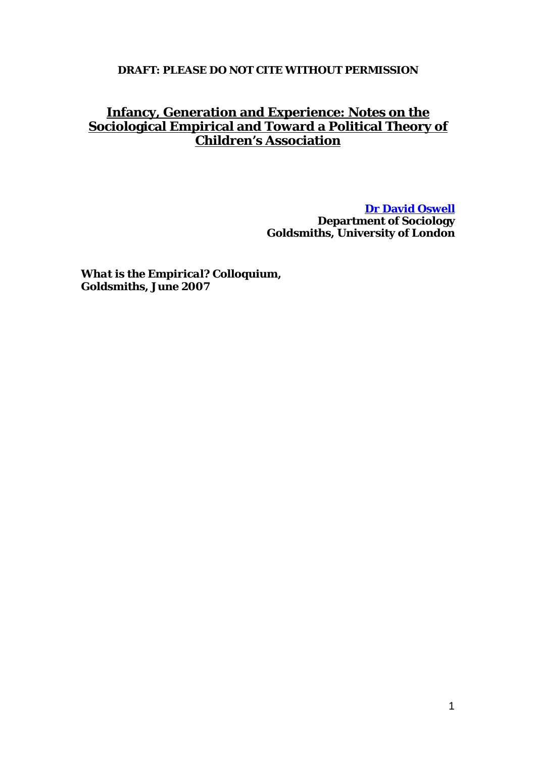# **DRAFT: PLEASE DO NOT CITE WITHOUT PERMISSION**

# **Infancy, Generation and Experience: Notes on the Sociological Empirical and Toward a Political Theory of Children's Association**

**[Dr David Oswell](mailto:d.oswell@gold.ac.uk?subject=Infancy,%20Generation%20and%20Experience%20online%20paper) Department of Sociology Goldsmiths, University of London** 

*What is the Empirical?* **Colloquium, Goldsmiths, June 2007**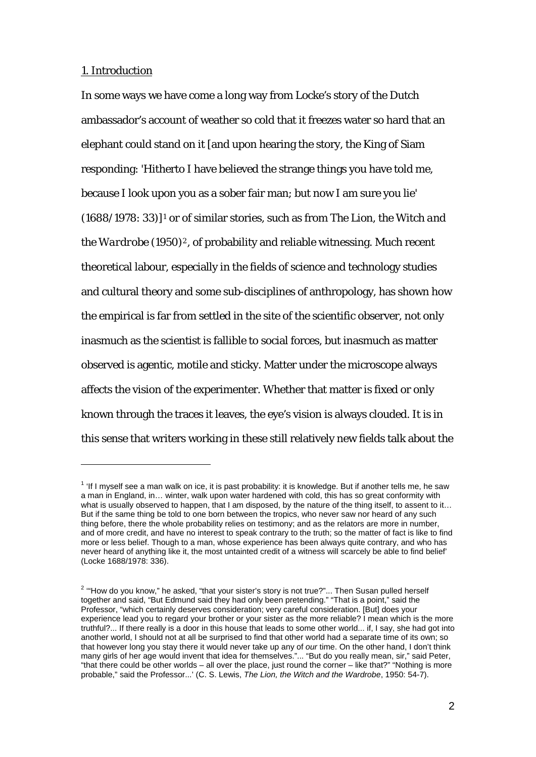# 1. Introduction

1

In some ways we have come a long way from Locke's story of the Dutch ambassador's account of weather so cold that it freezes water so hard that an elephant could stand on it [and upon hearing the story, the King of Siam responding: 'Hitherto I have believed the strange things you have told me, because I look upon you as a sober fair man; but now I am sure you lie' (1688/1978: 33)][1](#page-1-0) or of similar stories, such as from *The Lion, the Witch and the Wardrobe* (1950)<sup>[2](#page-1-1)</sup>, of probability and reliable witnessing. Much recent theoretical labour, especially in the fields of science and technology studies and cultural theory and some sub-disciplines of anthropology, has shown how the empirical is far from settled in the site of the scientific observer, not only inasmuch as the scientist is fallible to social forces, but inasmuch as matter observed is agentic, motile and sticky. Matter under the microscope always affects the vision of the experimenter. Whether that matter is fixed or only known through the traces it leaves, the eye's vision is always clouded. It is in this sense that writers working in these still relatively new fields talk about the

<span id="page-1-0"></span> $1$  'If I myself see a man walk on ice, it is past probability: it is knowledge. But if another tells me, he saw a man in England, in… winter, walk upon water hardened with cold, this has so great conformity with what is usually observed to happen, that I am disposed, by the nature of the thing itself, to assent to it... But if the same thing be told to one born between the tropics, who never saw nor heard of any such thing before, there the whole probability relies on testimony; and as the relators are more in number, and of more credit, and have no interest to speak contrary to the truth; so the matter of fact is like to find more or less belief. Though to a man, whose experience has been always quite contrary, and who has never heard of anything like it, the most untainted credit of a witness will scarcely be able to find belief' (Locke 1688/1978: 336).

<span id="page-1-1"></span> $2$  "How do you know," he asked, "that your sister's story is not true?"... Then Susan pulled herself together and said, "But Edmund said they had only been pretending." "That is a point," said the Professor, "which certainly deserves consideration; very careful consideration. [But] does your experience lead you to regard your brother or your sister as the more reliable? I mean which is the more truthful?... If there really is a door in this house that leads to some other world... if, I say, she had got into another world, I should not at all be surprised to find that other world had a separate time of its own; so that however long you stay there it would never take up any of *our* time. On the other hand, I don't think many girls of her age would invent that idea for themselves."... "But do you really mean, sir," said Peter, "that there could be other worlds – all over the place, just round the corner – like that?" "Nothing is more probable," said the Professor...' (C. S. Lewis, *The Lion, the Witch and the Wardrobe*, 1950: 54-7).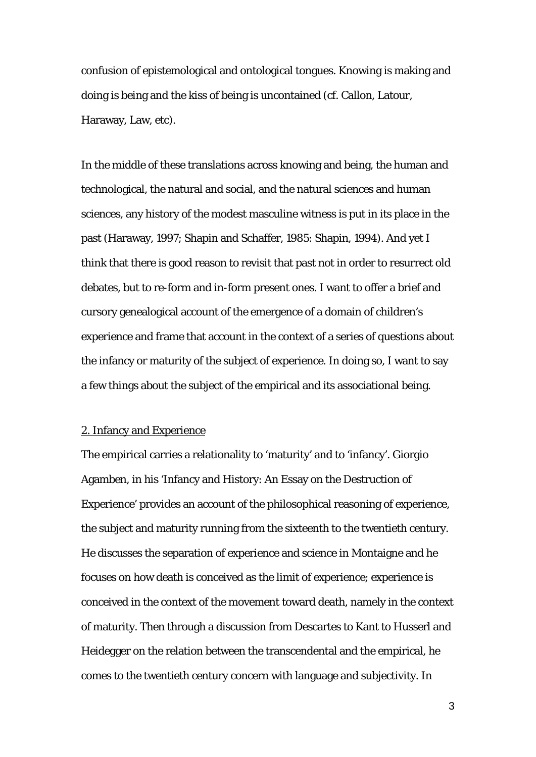confusion of epistemological and ontological tongues. Knowing is making and doing is being and the kiss of being is uncontained (cf. Callon, Latour, Haraway, Law, etc).

In the middle of these translations across knowing and being, the human and technological, the natural and social, and the natural sciences and human sciences, any history of the modest masculine witness is put in its place in the past (Haraway, 1997; Shapin and Schaffer, 1985: Shapin, 1994). And yet I think that there is good reason to revisit that past not in order to resurrect old debates, but to re-form and in-form present ones. I want to offer a brief and cursory genealogical account of the emergence of a domain of children's experience and frame that account in the context of a series of questions about the infancy or maturity of the subject of experience. In doing so, I want to say a few things about the subject of the empirical and its associational being.

## 2. Infancy and Experience

The empirical carries a relationality to 'maturity' and to 'infancy'. Giorgio Agamben, in his 'Infancy and History: An Essay on the Destruction of Experience' provides an account of the philosophical reasoning of experience, the subject and maturity running from the sixteenth to the twentieth century. He discusses the separation of experience and science in Montaigne and he focuses on how death is conceived as the limit of experience; experience is conceived in the context of the movement toward death, namely in the context of maturity. Then through a discussion from Descartes to Kant to Husserl and Heidegger on the relation between the transcendental and the empirical, he comes to the twentieth century concern with language and subjectivity. In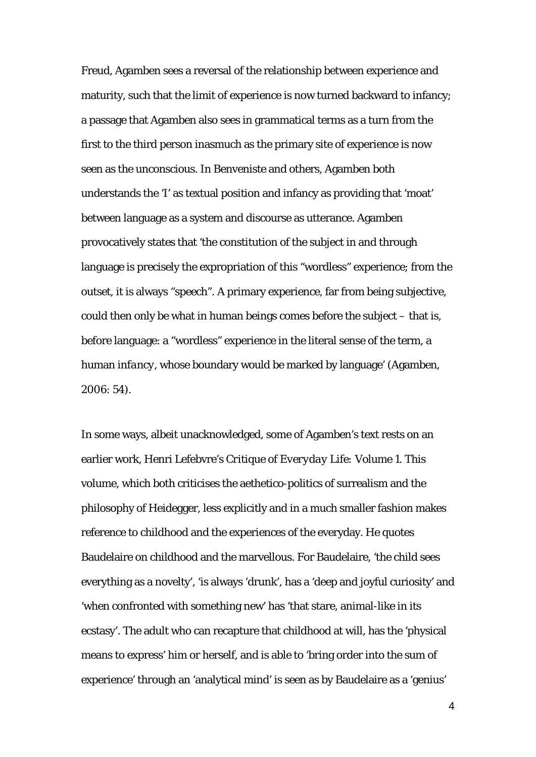Freud, Agamben sees a reversal of the relationship between experience and maturity, such that the limit of experience is now turned backward to infancy; a passage that Agamben also sees in grammatical terms as a turn from the first to the third person inasmuch as the primary site of experience is now seen as the unconscious. In Benveniste and others, Agamben both understands the 'I' as textual position and infancy as providing that 'moat' between language as a system and discourse as utterance. Agamben provocatively states that 'the constitution of the subject in and through language is precisely the expropriation of this "wordless" experience; from the outset, it is always "speech". A primary experience, far from being subjective, could then only be what in human beings comes before the subject – that is, before language: a "wordless" experience in the literal sense of the term, a human *infancy*, whose boundary would be marked by language' (Agamben, 2006: 54).

In some ways, albeit unacknowledged, some of Agamben's text rests on an earlier work, Henri Lefebvre's *Critique of Everyday Life: Volume 1*. This volume, which both criticises the aethetico-politics of surrealism and the philosophy of Heidegger, less explicitly and in a much smaller fashion makes reference to childhood and the experiences of the everyday. He quotes Baudelaire on childhood and the marvellous. For Baudelaire, 'the child sees everything as a novelty', 'is always 'drunk', has a 'deep and joyful curiosity' and 'when confronted with something new' has 'that stare, animal-like in its ecstasy'. The adult who can recapture that childhood at will, has the 'physical means to express' him or herself, and is able to 'bring order into the sum of experience' through an 'analytical mind' is seen as by Baudelaire as a 'genius'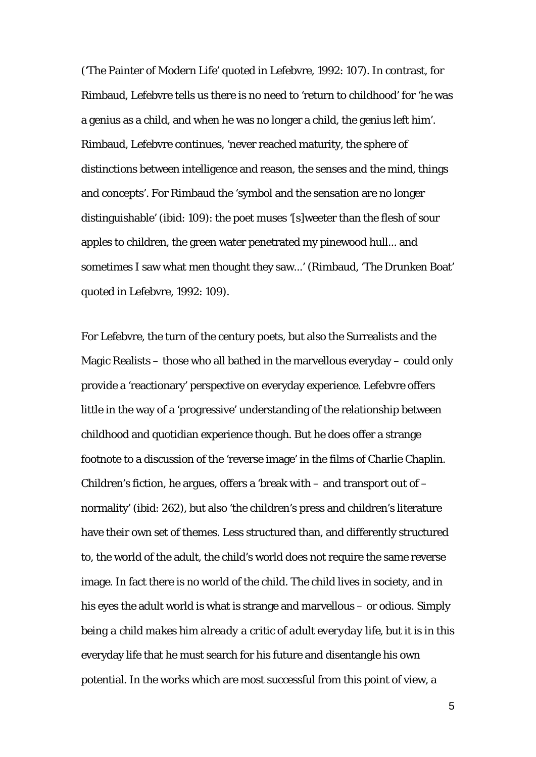('The Painter of Modern Life' quoted in Lefebvre, 1992: 107). In contrast, for Rimbaud, Lefebvre tells us there is no need to 'return to childhood' for 'he was a genius as a child, and when he was no longer a child, the genius left him'. Rimbaud, Lefebvre continues, 'never reached maturity, the sphere of distinctions between intelligence and reason, the senses and the mind, things and concepts'. For Rimbaud the 'symbol and the sensation are no longer distinguishable' (ibid: 109): the poet muses '[s]weeter than the flesh of sour apples to children, the green water penetrated my pinewood hull... and sometimes I saw what men thought they saw...' (Rimbaud, 'The Drunken Boat' quoted in Lefebvre, 1992: 109).

For Lefebvre, the turn of the century poets, but also the Surrealists and the Magic Realists – those who all bathed in the marvellous everyday – could only provide a 'reactionary' perspective on everyday experience. Lefebvre offers little in the way of a 'progressive' understanding of the relationship between childhood and quotidian experience though. But he does offer a strange footnote to a discussion of the 'reverse image' in the films of Charlie Chaplin. Children's fiction, he argues, offers a 'break with  $-$  and transport out of  $$ normality' (ibid: 262), but also 'the children's press and children's literature have their own set of themes. Less structured than, and differently structured to, the world of the adult, the child's world does not require the same reverse image. In fact there is no world of the child. The child lives in society, and in his eyes the adult world is what is strange and marvellous – or odious. *Simply being a child makes him already a critic of adult everyday life*, but it is in this everyday life that he must search for his future and disentangle his own potential. In the works which are most successful from this point of view, a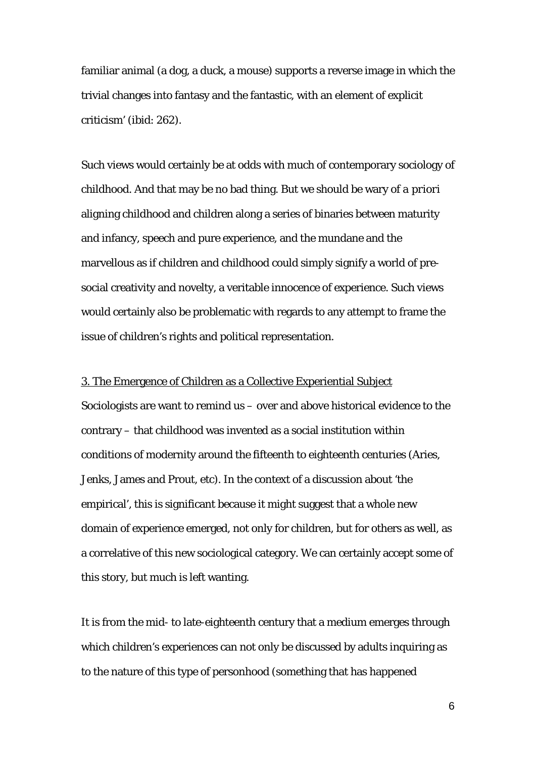familiar animal (a dog, a duck, a mouse) supports a reverse image in which the trivial changes into fantasy and the fantastic, with an element of explicit criticism' (ibid: 262).

Such views would certainly be at odds with much of contemporary sociology of childhood. And that may be no bad thing. But we should be wary of *a priori* aligning childhood and children along a series of binaries between maturity and infancy, speech and pure experience, and the mundane and the marvellous as if children and childhood could simply signify a world of presocial creativity and novelty, a veritable innocence of experience. Such views would certainly also be problematic with regards to any attempt to frame the issue of children's rights and political representation.

#### 3. The Emergence of Children as a Collective Experiential Subject

Sociologists are want to remind us – over and above historical evidence to the contrary – that childhood was invented as a social institution within conditions of modernity around the fifteenth to eighteenth centuries (Aries, Jenks, James and Prout, etc). In the context of a discussion about 'the empirical', this is significant because it might suggest that a whole new domain of experience emerged, not only for children, but for others as well, as a correlative of this new sociological category. We can certainly accept some of this story, but much is left wanting.

It is from the mid- to late-eighteenth century that a medium emerges through which children's experiences can not only be discussed by adults inquiring as to the nature of this type of personhood (something that has happened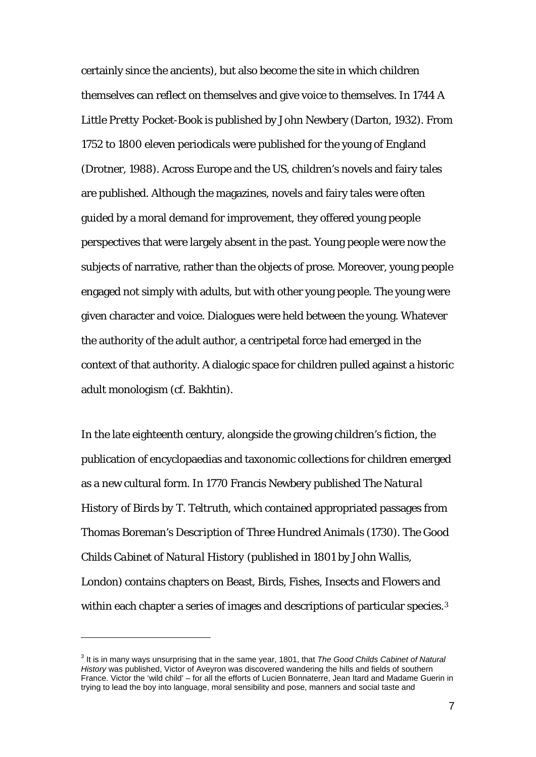certainly since the ancients), but also become the site in which children themselves can reflect on themselves and give voice to themselves. In 1744 *A Little Pretty Pocket-Book* is published by John Newbery (Darton, 1932). From 1752 to 1800 eleven periodicals were published for the young of England (Drotner, 1988). Across Europe and the US, children's novels and fairy tales are published. Although the magazines, novels and fairy tales were often guided by a moral demand for improvement, they offered young people perspectives that were largely absent in the past. Young people were now the subjects of narrative, rather than the objects of prose. Moreover, young people engaged not simply with adults, but with other young people. The young were given character and voice. Dialogues were held between the young. Whatever the authority of the adult author, a centripetal force had emerged in the context of that authority. A dialogic space for children pulled against a historic adult monologism (cf. Bakhtin).

In the late eighteenth century, alongside the growing children's fiction, the publication of encyclopaedias and taxonomic collections for children emerged as a new cultural form. In 1770 Francis Newbery published *The Natural History of Birds by T. Teltruth*, which contained appropriated passages from Thomas Boreman's *Description of Three Hundred Animals* (1730). *The Good Childs Cabinet of Natural History* (published in 1801 by John Wallis, London) contains chapters on Beast, Birds, Fishes, Insects and Flowers and within each chapter a series of images and descriptions of particular species.<sup>[3](#page-6-0)</sup>

<span id="page-6-0"></span><sup>3</sup> It is in many ways unsurprising that in the same year, 1801, that *The Good Childs Cabinet of Natural History* was published, Victor of Aveyron was discovered wandering the hills and fields of southern France. Victor the 'wild child' – for all the efforts of Lucien Bonnaterre, Jean Itard and Madame Guerin in trying to lead the boy into language, moral sensibility and pose, manners and social taste and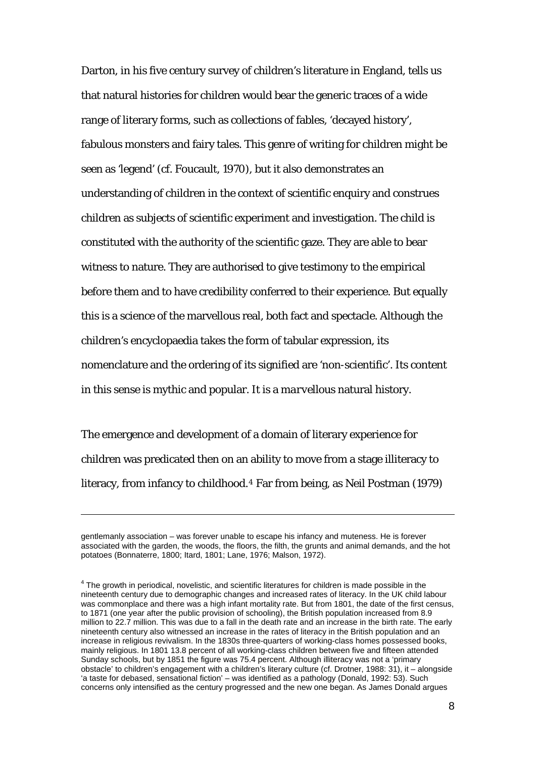Darton, in his five century survey of children's literature in England, tells us that natural histories for children would bear the generic traces of a wide range of literary forms, such as collections of fables, 'decayed history', fabulous monsters and fairy tales. This genre of writing for children might be seen as 'legend' (cf. Foucault, 1970), but it also demonstrates an understanding of children in the context of scientific enquiry and construes children as subjects of scientific experiment and investigation. The child is constituted with the authority of the scientific gaze. They are able to bear witness to nature. They are authorised to give testimony to the empirical before them and to have credibility conferred to their experience. But equally this is a science of the marvellous real, both fact and spectacle. Although the children's encyclopaedia takes the form of tabular expression, its nomenclature and the ordering of its signified are 'non-scientific'. Its content in this sense is mythic and popular. It is a *marvellous* natural history.

The emergence and development of a domain of literary experience for children was predicated then on an ability to move from a stage illiteracy to literacy, from infancy to childhood.[4](#page-7-0) Far from being, as Neil Postman (1979)

gentlemanly association – was forever unable to escape his infancy and muteness. He is forever associated with the garden, the woods, the floors, the filth, the grunts and animal demands, and the hot potatoes (Bonnaterre, 1800; Itard, 1801; Lane, 1976; Malson, 1972).

<span id="page-7-0"></span> $4$  The growth in periodical, novelistic, and scientific literatures for children is made possible in the nineteenth century due to demographic changes and increased rates of literacy. In the UK child labour was commonplace and there was a high infant mortality rate. But from 1801, the date of the first census, to 1871 (one year after the public provision of schooling), the British population increased from 8.9 million to 22.7 million. This was due to a fall in the death rate and an increase in the birth rate. The early nineteenth century also witnessed an increase in the rates of literacy in the British population and an increase in religious revivalism. In the 1830s three-quarters of working-class homes possessed books, mainly religious. In 1801 13.8 percent of all working-class children between five and fifteen attended Sunday schools, but by 1851 the figure was 75.4 percent. Although illiteracy was not a 'primary obstacle' to children's engagement with a children's literary culture (cf. Drotner, 1988: 31), it – alongside 'a taste for debased, sensational fiction' – was identified as a pathology (Donald, 1992: 53). Such concerns only intensified as the century progressed and the new one began. As James Donald argues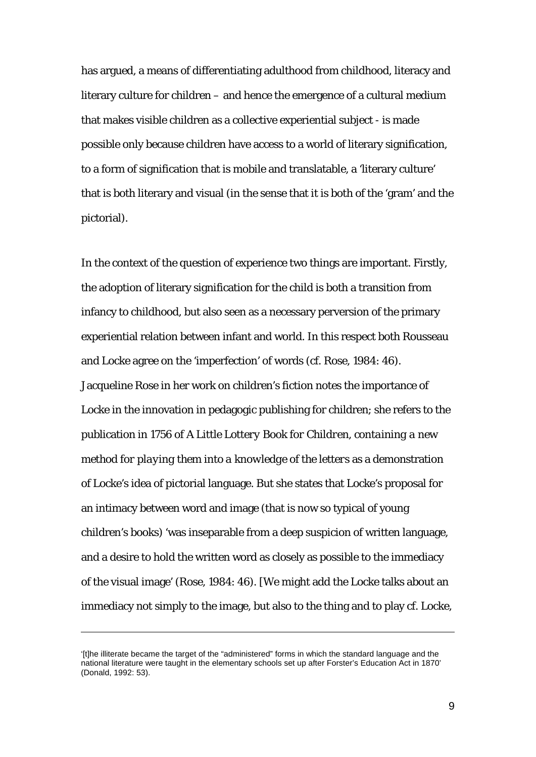has argued, a means of differentiating adulthood from childhood, literacy and literary culture for children – and hence the emergence of a cultural medium that makes visible children as a collective experiential subject - is made possible only because children have access to a world of literary signification, to a form of signification that is mobile and translatable, a 'literary culture' that is both literary and visual (in the sense that it is both of the 'gram' and the pictorial).

In the context of the question of experience two things are important. Firstly, the adoption of literary signification for the child is both a transition from infancy to childhood, but also seen as a necessary perversion of the primary experiential relation between infant and world. In this respect both Rousseau and Locke agree on the 'imperfection' of words (cf. Rose, 1984: 46). Jacqueline Rose in her work on children's fiction notes the importance of Locke in the innovation in pedagogic publishing for children; she refers to the publication in 1756 of *A Little Lottery Book for Children, containing a new method for playing them into a knowledge of the letters* as a demonstration of Locke's idea of pictorial language. But she states that Locke's proposal for an intimacy between word and image (that is now so typical of young children's books) 'was inseparable from a deep suspicion of written language, and a desire to hold the written word as closely as possible to the immediacy of the visual image' (Rose, 1984: 46). [We might add the Locke talks about an immediacy not simply to the image, but also to the thing and to play cf. Locke,

<sup>&#</sup>x27;[t]he illiterate became the target of the "administered" forms in which the standard language and the national literature were taught in the elementary schools set up after Forster's Education Act in 1870' (Donald, 1992: 53).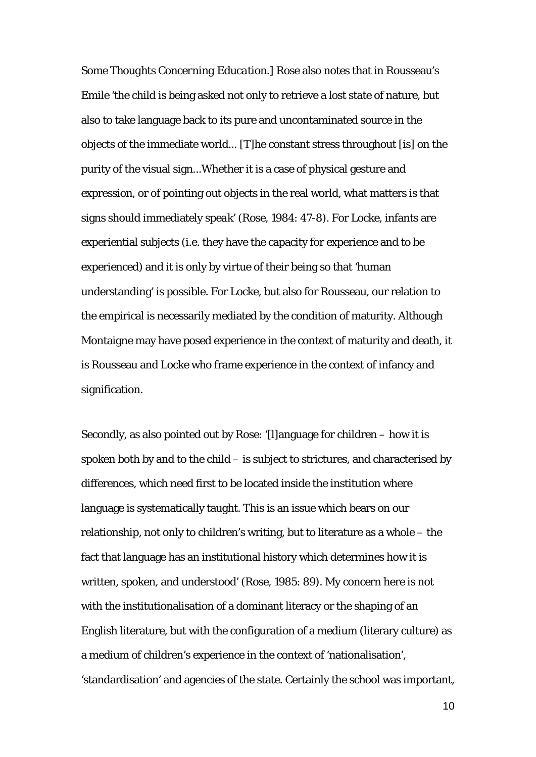*Some Thoughts Concerning Education*.] Rose also notes that in Rousseau's *Emile* 'the child is being asked not only to retrieve a lost state of nature, but also to take language back to its pure and uncontaminated source in the objects of the immediate world... [T]he constant stress throughout [is] on the purity of the visual sign...Whether it is a case of physical gesture and expression, or of pointing out objects in the real world, what matters is that signs should immediately *speak*' (Rose, 1984: 47-8). For Locke, infants are experiential subjects (i.e. they have the capacity for experience and to be experienced) and it is only by virtue of their being so that 'human understanding' is possible. For Locke, but also for Rousseau, our relation to the empirical is necessarily mediated by the condition of maturity. Although Montaigne may have posed experience in the context of maturity and death, it is Rousseau and Locke who frame experience in the context of infancy and signification.

Secondly, as also pointed out by Rose: '[l]anguage for children – how it is spoken both by and to the child – is subject to strictures, and characterised by differences, which need first to be located inside the institution where language is systematically taught. This is an issue which bears on our relationship, not only to children's writing, but to literature as a whole – the fact that language has an institutional history which determines how it is written, spoken, and understood' (Rose, 1985: 89). My concern here is not with the institutionalisation of a dominant literacy or the shaping of an English literature, but with the configuration of a medium (literary culture) as a medium of children's experience in the context of 'nationalisation', 'standardisation' and agencies of the state. Certainly the school was important,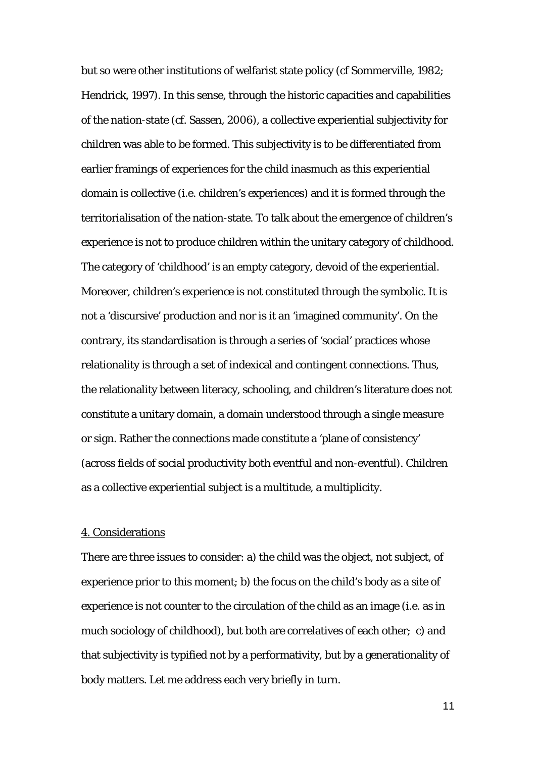but so were other institutions of welfarist state policy (cf Sommerville, 1982; Hendrick, 1997). In this sense, through the historic capacities and capabilities of the nation-state (cf. Sassen, 2006), a collective experiential subjectivity for children was able to be formed. This subjectivity is to be differentiated from earlier framings of experiences for the child inasmuch as this experiential domain is collective (i.e. children's experiences) and it is formed through the territorialisation of the nation-state. To talk about the emergence of children's experience is not to produce children within the unitary category of childhood. The category of 'childhood' is an empty category, devoid of the experiential. Moreover, children's experience is not constituted through the symbolic. It is not a 'discursive' production and nor is it an 'imagined community'. On the contrary, its standardisation is through a series of 'social' practices whose relationality is through a set of indexical and contingent connections. Thus, the relationality between literacy, schooling, and children's literature does not constitute a unitary domain, a domain understood through a single measure or sign. Rather the connections made constitute a 'plane of consistency' (across fields of social productivity both eventful and non-eventful). Children as a collective experiential subject is a multitude, a multiplicity.

#### 4. Considerations

There are three issues to consider: a) the child was the object, not subject, of experience prior to this moment; b) the focus on the child's body as a site of experience is not counter to the circulation of the child as an image (i.e. as in much sociology of childhood), but both are correlatives of each other; c) and that subjectivity is typified not by a performativity, but by a generationality of body matters. Let me address each very briefly in turn.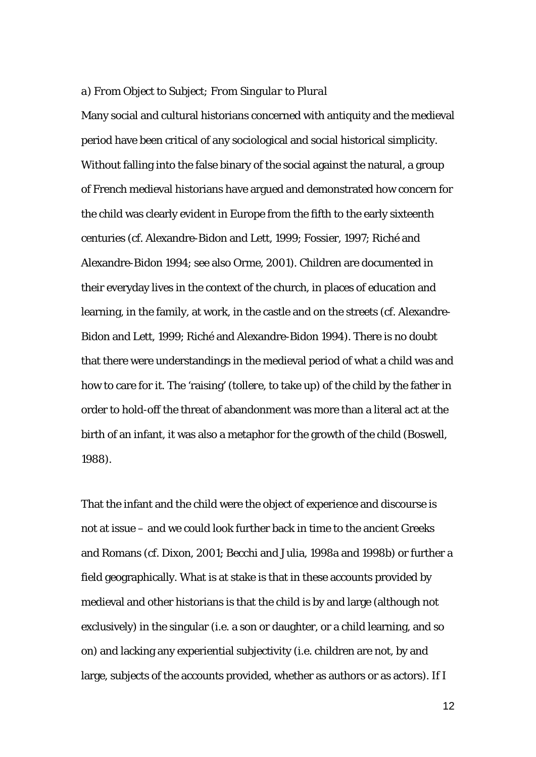#### *a) From Object to Subject; From Singular to Plural*

Many social and cultural historians concerned with antiquity and the medieval period have been critical of any sociological and social historical simplicity. Without falling into the false binary of the social against the natural, a group of French medieval historians have argued and demonstrated how concern for the child was clearly evident in Europe from the fifth to the early sixteenth centuries (cf. Alexandre-Bidon and Lett, 1999; Fossier, 1997; Riché and Alexandre-Bidon 1994; see also Orme, 2001). Children are documented in their everyday lives in the context of the church, in places of education and learning, in the family, at work, in the castle and on the streets (cf. Alexandre-Bidon and Lett, 1999; Riché and Alexandre-Bidon 1994). There is no doubt that there were understandings in the medieval period of what a child was and how to care for it. The 'raising' (*tollere*, to take up) of the child by the father in order to hold-off the threat of abandonment was more than a literal act at the birth of an infant, it was also a metaphor for the growth of the child (Boswell, 1988).

That the infant and the child were the object of experience and discourse is not at issue – and we could look further back in time to the ancient Greeks and Romans (cf. Dixon, 2001; Becchi and Julia, 1998a and 1998b) or further a field geographically. What is at stake is that in these accounts provided by medieval and other historians is that the child is by and large (although not exclusively) in the singular (i.e. a son or daughter, or a child learning, and so on) and lacking any experiential subjectivity (i.e. children are not, by and large, subjects of the accounts provided, whether as authors or as actors). If I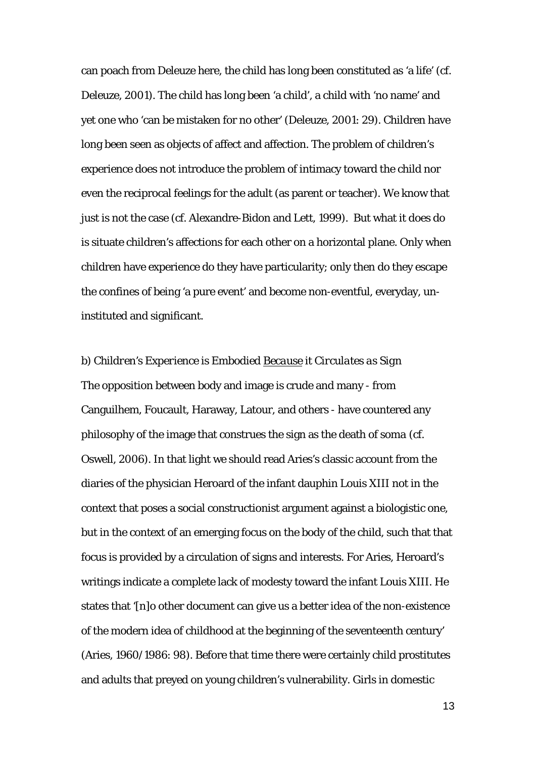can poach from Deleuze here, the child has long been constituted as 'a life' (cf. Deleuze, 2001). The child has long been 'a child', a child with 'no name' and yet one who 'can be mistaken for no other' (Deleuze, 2001: 29). Children have long been seen as objects of affect and affection. The problem of children's experience does not introduce the problem of intimacy toward the child nor even the reciprocal feelings for the adult (as parent or teacher). We know that just is not the case (cf. Alexandre-Bidon and Lett, 1999). But what it does do is situate children's affections for each other on a horizontal plane. Only when children have experience do they have particularity; only then do they escape the confines of being 'a pure event' and become non-eventful, everyday, uninstituted and significant.

# *b) Children's Experience is Embodied Because it Circulates as Sign*  The opposition between body and image is crude and many - from Canguilhem, Foucault, Haraway, Latour, and others - have countered any philosophy of the image that construes the sign as the death of *soma* (cf. Oswell, 2006). In that light we should read Aries's classic account from the diaries of the physician Heroard of the infant dauphin Louis XIII not in the context that poses a social constructionist argument against a biologistic one, but in the context of an emerging focus on the body of the child, such that that focus is provided by a circulation of signs and interests. For Aries, Heroard's writings indicate a complete lack of modesty toward the infant Louis XIII. He states that '[n]o other document can give us a better idea of the non-existence of the modern idea of childhood at the beginning of the seventeenth century' (Aries, 1960/1986: 98). Before that time there were certainly child prostitutes and adults that preyed on young children's vulnerability. Girls in domestic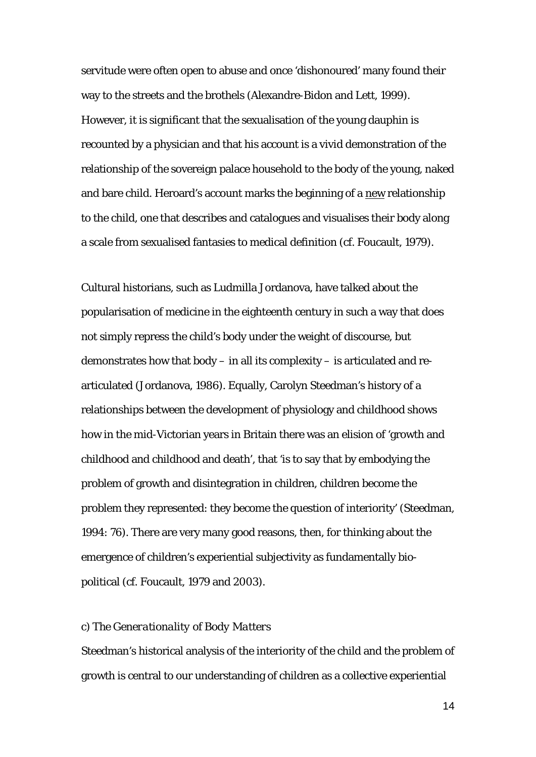servitude were often open to abuse and once 'dishonoured' many found their way to the streets and the brothels (Alexandre-Bidon and Lett, 1999). However, it is significant that the sexualisation of the young dauphin is recounted by a physician and that his account is a vivid demonstration of the relationship of the sovereign palace household to the body of the young, naked and bare child. Heroard's account marks the beginning of a new relationship to the child, one that describes and catalogues and visualises their body along a scale from sexualised fantasies to medical definition (cf. Foucault, 1979).

Cultural historians, such as Ludmilla Jordanova, have talked about the popularisation of medicine in the eighteenth century in such a way that does not simply repress the child's body under the weight of discourse, but demonstrates how that body – in all its complexity – is articulated and rearticulated (Jordanova, 1986). Equally, Carolyn Steedman's history of a relationships between the development of physiology and childhood shows how in the mid-Victorian years in Britain there was an elision of 'growth and childhood and childhood and death', that 'is to say that by embodying the problem of growth and disintegration in children, children become the problem they represented: they become the question of interiority' (Steedman, 1994: 76). There are very many good reasons, then, for thinking about the emergence of children's experiential subjectivity as fundamentally biopolitical (cf. Foucault, 1979 and 2003).

# *c) The Generationality of Body Matters*

Steedman's historical analysis of the interiority of the child and the problem of growth is central to our understanding of children as a collective experiential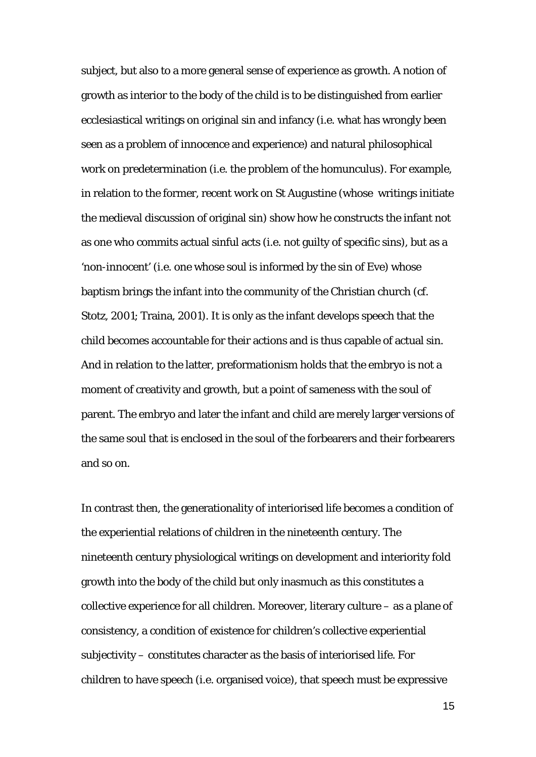subject, but also to a more general sense of experience as growth. A notion of growth as interior to the body of the child is to be distinguished from earlier ecclesiastical writings on original sin and infancy (i.e. what has wrongly been seen as a problem of innocence and experience) and natural philosophical work on predetermination (i.e. the problem of the homunculus). For example, in relation to the former, recent work on St Augustine (whose writings initiate the medieval discussion of original sin) show how he constructs the infant not as one who commits actual sinful acts (i.e. not guilty of specific sins), but as a 'non-innocent' (i.e. one whose soul is informed by the sin of Eve) whose baptism brings the infant into the community of the Christian church (cf. Stotz, 2001; Traina, 2001). It is only as the infant develops speech that the child becomes accountable for their actions and is thus capable of actual sin. And in relation to the latter, preformationism holds that the embryo is not a moment of creativity and growth, but a point of sameness with the soul of parent. The embryo and later the infant and child are merely larger versions of the same soul that is enclosed in the soul of the forbearers and their forbearers and so on.

In contrast then, the generationality of interiorised life becomes a condition of the experiential relations of children in the nineteenth century. The nineteenth century physiological writings on development and interiority fold growth into the body of the child but only inasmuch as this constitutes a collective experience for all children. Moreover, literary culture – as a plane of consistency, a condition of existence for children's collective experiential subjectivity – constitutes character as the basis of interiorised life. For children to have speech (i.e. organised voice), that speech must be expressive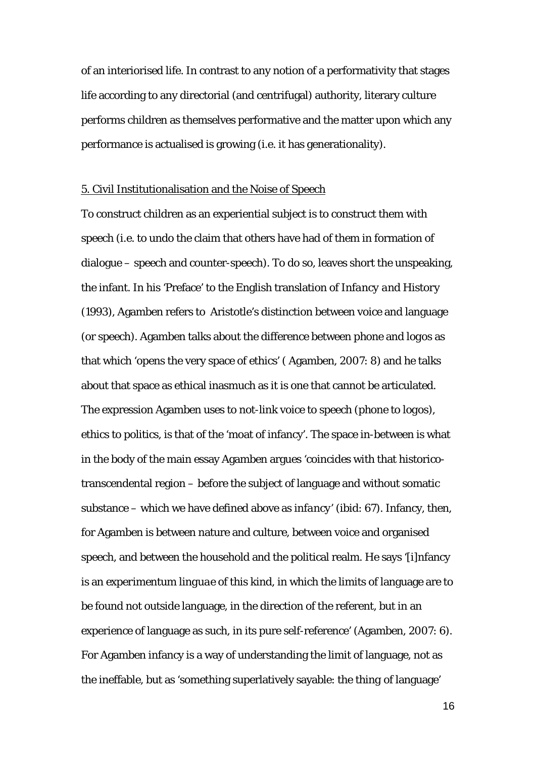of an interiorised life. In contrast to any notion of a performativity that stages life according to any directorial (and centrifugal) authority, literary culture performs children as themselves performative and the matter upon which any performance is actualised is growing (i.e. it has generationality).

#### 5. Civil Institutionalisation and the Noise of Speech

To construct children as an experiential subject is to construct them with speech (i.e. to undo the claim that others have had of them in formation of dialogue – speech and counter-speech). To do so, leaves short the unspeaking, the infant. In his 'Preface' to the English translation of *Infancy and History* (1993), Agamben refers to Aristotle's distinction between voice and language (or speech). Agamben talks about the difference between *phone* and *logos* as that which 'opens the very space of ethics' ( Agamben, 2007: 8) and he talks about that space as ethical inasmuch as it is one that cannot be articulated. The expression Agamben uses to *not*-link voice to speech (*phone* to *logos*), ethics to politics, is that of the 'moat of infancy'. The space in-between is what in the body of the main essay Agamben argues 'coincides with that historicotranscendental region – before the subject of language and without somatic substance – which we have defined above as *infancy*' (ibid: 67). Infancy, then, for Agamben is between nature and culture, between voice and organised speech, and between the household and the political realm. He says '[i]nfancy is an *experimentum linguae* of this kind, in which the limits of language are to be found not outside language, in the direction of the referent, but in an experience of language as such, in its pure self-reference' (Agamben, 2007: 6). For Agamben infancy is a way of understanding the limit of language, not as the ineffable, but as 'something superlatively sayable: the *thing* of language'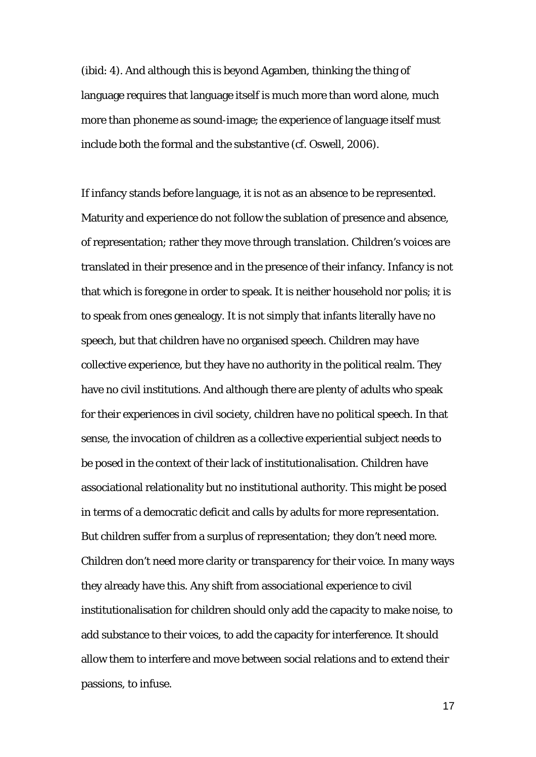(ibid: 4). And although this is beyond Agamben, thinking the thing of language requires that language itself is much more than word alone, much more than phoneme as sound-image; the experience of language itself must include both the formal and the substantive (cf. Oswell, 2006).

If infancy stands before language, it is not as an absence to be represented. Maturity and experience do not follow the sublation of presence and absence, of representation; rather they move through translation. Children's voices are translated in their presence and in the presence of their infancy. Infancy is not that which is foregone in order to speak. It is neither household nor *polis*; it is to speak *from* ones genealogy. It is not simply that infants literally have no speech, but that children have no organised speech. Children may have collective experience, but they have no authority in the political realm. They have no civil institutions. And although there are plenty of adults who speak for their experiences in civil society, children have no political speech. In that sense, the invocation of children as a collective experiential subject needs to be posed in the context of their lack of institutionalisation. Children have associational relationality but no institutional authority. This might be posed in terms of a democratic deficit and calls by adults for more representation. But children suffer from a surplus of representation; they don't need more. Children don't need more clarity or transparency for their voice. In many ways they already have this. Any shift from associational experience to civil institutionalisation for children should only add the capacity to make noise, to add substance to their voices, to add the capacity for interference. It should allow them to interfere and move between social relations and to extend their passions, to infuse.